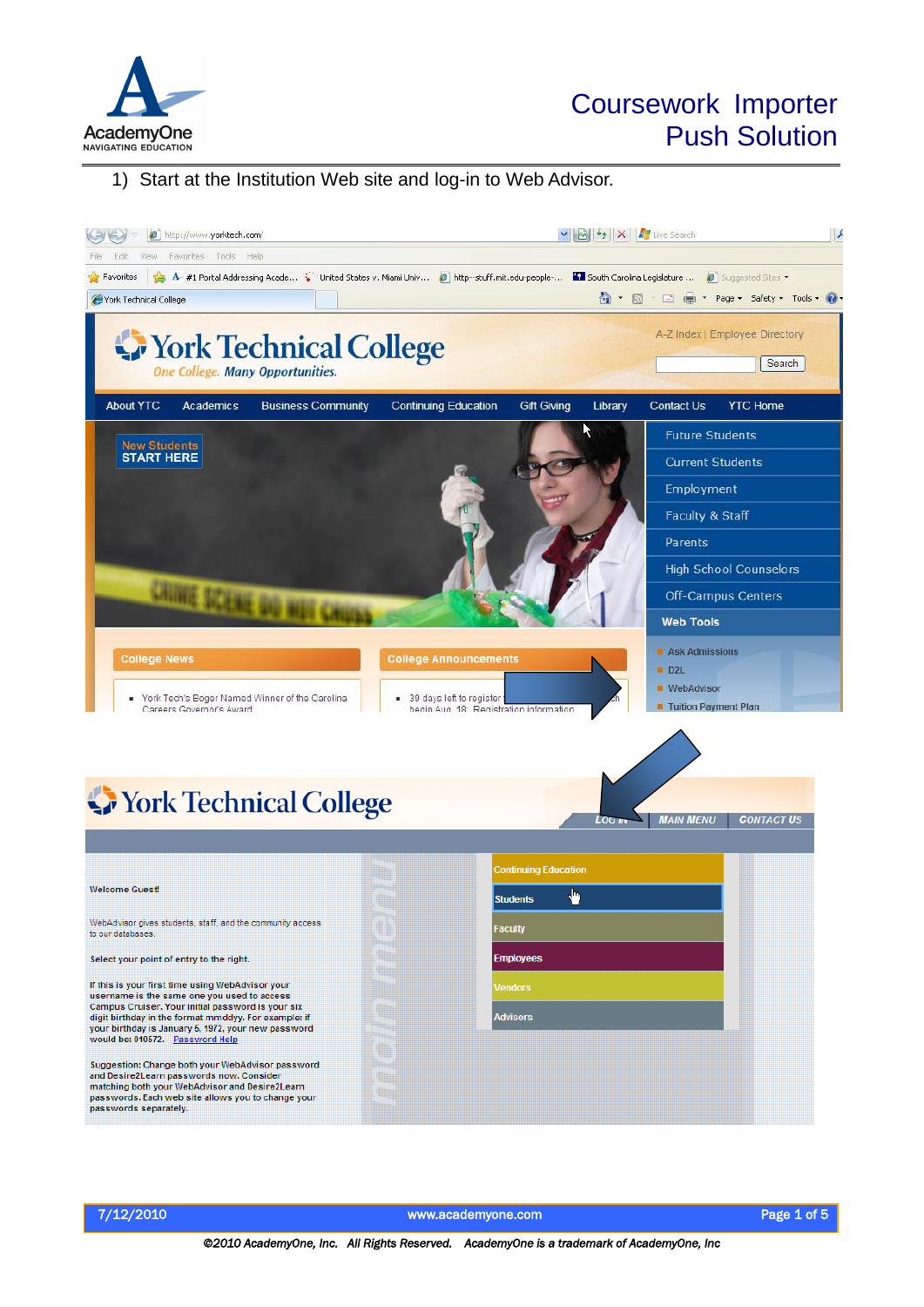

# Coursework Importer Push Solution

#### 1) Start at the Institution Web site and log-in to Web Advisor.



The state of the state of the state of the www.academyone.com and the state of the Page 1 of 5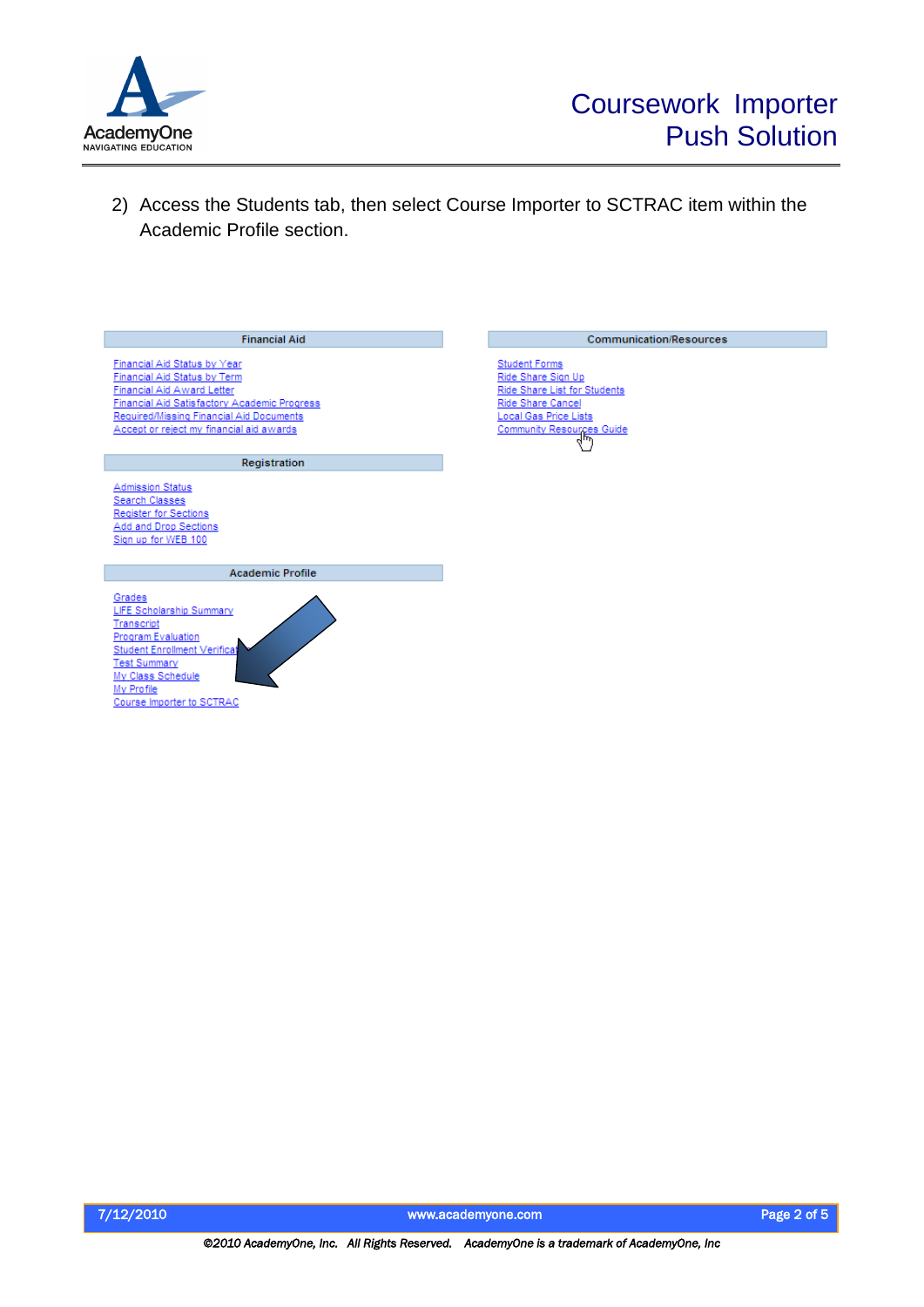

Communication/Resources

Student Forms<br>Ride Share Sign Up<br>Ride Share List for Students<br>Ride Share Cancel

Local Gas Price Lists Community Resources Guide

2) Access the Students tab, then select Course Importer to SCTRAC item within the Academic Profile section.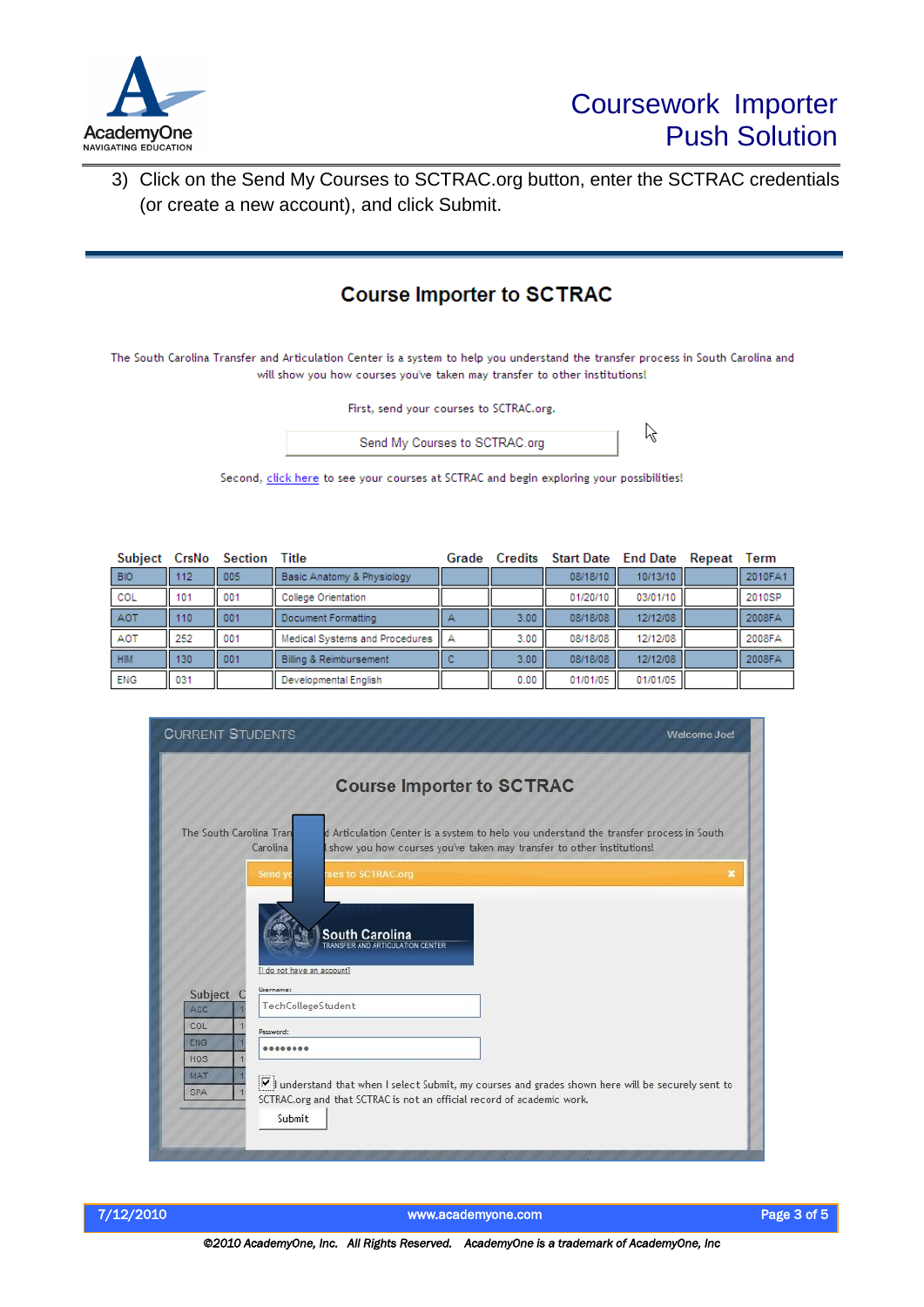

3) Click on the Send My Courses to SCTRAC.org button, enter the SCTRAC credentials (or create a new account), and click Submit.

### **Course Importer to SCTRAC**

The South Carolina Transfer and Articulation Center is a system to help you understand the transfer process in South Carolina and will show you how courses you've taken may transfer to other institutions!

|  |  |  |  | First, send your courses to SCTRAC.org. |
|--|--|--|--|-----------------------------------------|
|--|--|--|--|-----------------------------------------|



Second, click here to see your courses at SCTRAC and begin exploring your possibilities!

| Subject    | CrsNo | Section | Title                              | Grade | Credits | <b>Start Date</b> End Date |             | Repeat | Term    |
|------------|-------|---------|------------------------------------|-------|---------|----------------------------|-------------|--------|---------|
| <b>BIO</b> | 112   | 005     | Basic Anatomy & Physiology         |       |         | 08/18/10                   | 10/13/10    |        | 2010FA1 |
| COL        | 101   | 001     | <b>College Orientation</b>         |       |         | 01/20/10                   | 03/01/10    |        | 2010SP  |
| <b>AOT</b> | 110   | 001     | Document Formatting                |       | 3.00    | 08/18/08                   | 12/12/08    |        | 2008FA  |
| <b>AOT</b> | 252   | 001     | Medical Systems and Procedures   A |       | 3.00    | 08/18/08                   | 12/12/08 II |        | 2008FA  |
| HIM        | 130   | 001     | Billing & Reimbursement            |       | 3.00    | 08/18/08                   | 12/12/08    |        | 2008FA  |
| <b>ENG</b> | 031   |         | Developmental English              |       | 0.00    | 01/01/05                   | 01/01/05    |        |         |

| <b>CURRENT STUDENTS</b>                                                                                                                                                                                                                 | Welcome Joe! |
|-----------------------------------------------------------------------------------------------------------------------------------------------------------------------------------------------------------------------------------------|--------------|
| <b>Course Importer to SCTRAC</b>                                                                                                                                                                                                        |              |
| The South Carolina Tran<br>d Articulation Center is a system to help you understand the transfer process in South<br>Carolina<br>show you how courses you've taken may transfer to other institutions!                                  |              |
| Send y<br>ses to SCTRAC.org                                                                                                                                                                                                             | Đ.           |
| <b>South Carolina</b><br><b>PANSEER AND ARTICULATION CENTER</b><br>Il do not have an accounti<br>Username:                                                                                                                              |              |
| <b>Subject</b><br>$\epsilon$<br>TechCollegeStudent<br>ACC                                                                                                                                                                               |              |
| COL<br>Password:                                                                                                                                                                                                                        |              |
| <b>ENG</b><br><br>HOS                                                                                                                                                                                                                   |              |
| <b>MAT</b><br>$\boxed{\triangledown}$ understand that when I select Submit, my courses and grades shown here will be securely sent to<br><b>SPA</b><br>SCTRAC.org and that SCTRAC is not an official record of academic work.<br>Submit |              |
|                                                                                                                                                                                                                                         |              |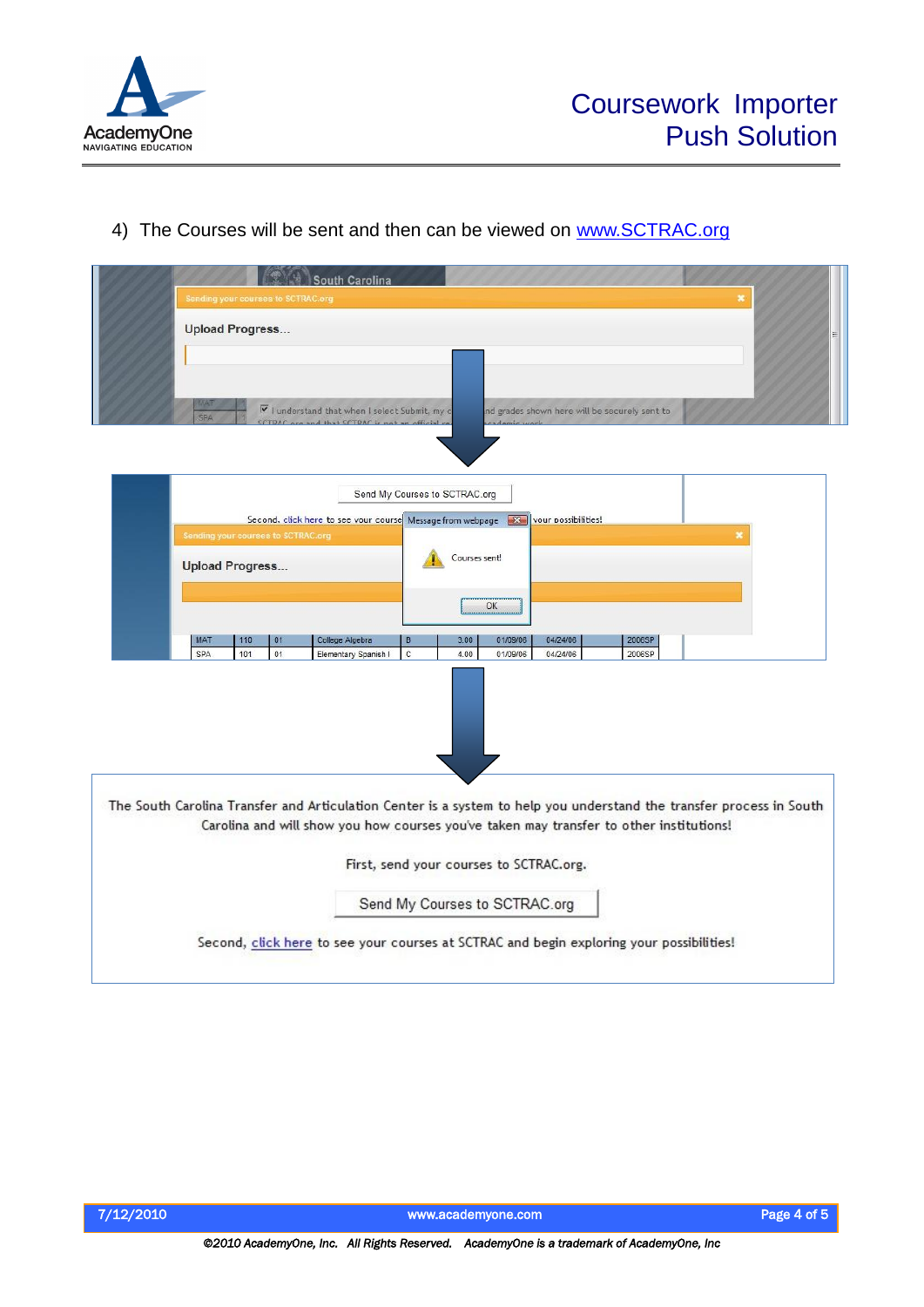

### 4) The Courses will be sent and then can be viewed on [www.SCTRAC.org](http://www.sctrac.org/)